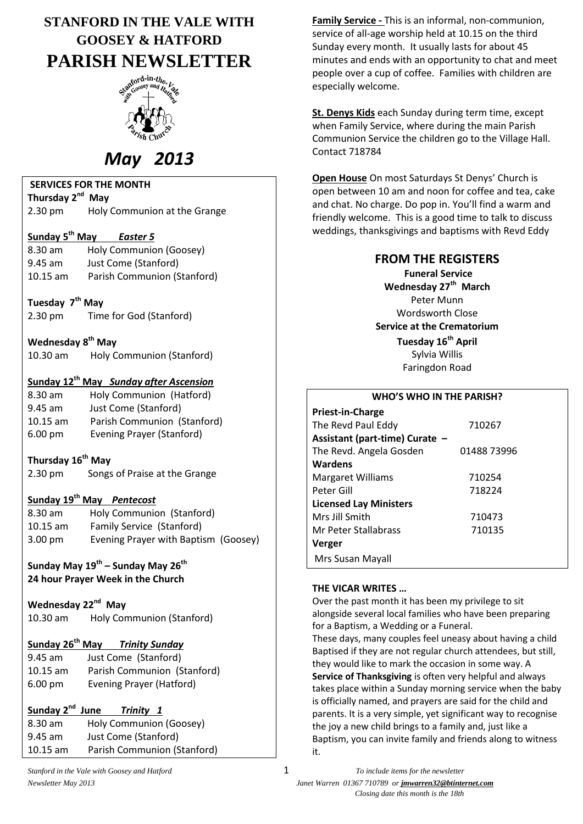# **STANFORD IN THE VALE WITH GOOSEY & HATFORD PARISH NEWSLETTER**



# *May 2013*

### **SERVICES FOR THE MONTH**

**Thursday 2 nd May** 2.30 pm Holy Communion at the Grange

### **Sunday 5 th May** *Easter 5*

8.30 am Holy Communion (Goosey) 9.45 am Just Come (Stanford) 10.15 am Parish Communion (Stanford)

- **Tuesday 7th May**
- 2.30 pm Time for God (Stanford)

**Wednesday 8 th May** 10.30 am Holy Communion (Stanford)

### **Sunday 12th May** *Sunday after Ascension*

| $8.30$ am         | Holy Communion (Hatford)         |
|-------------------|----------------------------------|
| $9.45$ am         | Just Come (Stanford)             |
| $10.15$ am        | Parish Communion (Stanford)      |
| $6.00 \text{ pm}$ | <b>Evening Prayer (Stanford)</b> |

### **Thursday 16th May**

2.30 pm Songs of Praise at the Grange

### **Sunday 19th May** *Pentecost*

| $8.30$ am         | Holy Communion (Stanford)            |
|-------------------|--------------------------------------|
| $10.15$ am        | Family Service (Stanford)            |
| $3.00 \text{ pm}$ | Evening Prayer with Baptism (Goosey) |

**Sunday May 19th – Sunday May 26 th 24 hour Prayer Week in the Church**

### **Wednesday 22nd May** 10.30 am Holy Communion (Stanford)

### **Sunday 26th May** *Trinity Sunday*

| $9.45$ am         | Just Come (Stanford)        |
|-------------------|-----------------------------|
| $10.15$ am        | Parish Communion (Stanford) |
| $6.00 \text{ pm}$ | Evening Prayer (Hatford)    |

#### **Sunday 2nd** *Trinity* 1

| 8.30 am    | Holy Communion (Goosey)     |
|------------|-----------------------------|
| $9.45$ am  | Just Come (Stanford)        |
| $10.15$ am | Parish Communion (Stanford) |

**Family Service -** This is an informal, non-communion, service of all-age worship held at 10.15 on the third Sunday every month. It usually lasts for about 45 minutes and ends with an opportunity to chat and meet people over a cup of coffee. Families with children are especially welcome.

**St. Denys Kids** each Sunday during term time, except when Family Service, where during the main Parish Communion Service the children go to the Village Hall. Contact 718784

**Open House** On most Saturdays St Denys' Church is open between 10 am and noon for coffee and tea, cake and chat. No charge. Do pop in. You'll find a warm and friendly welcome. This is a good time to talk to discuss weddings, thanksgivings and baptisms with Revd Eddy

### **FROM THE REGISTERS**

**Funeral Service Wednesday 27th March** Peter Munn Wordsworth Close **Service at the Crematorium Tuesday 16th April** Sylvia Willis Faringdon Road

#### **WHO'S WHO IN THE PARISH?**

| Priest-in-Charge               |             |
|--------------------------------|-------------|
| The Revd Paul Eddy             | 710267      |
| Assistant (part-time) Curate - |             |
| The Revd. Angela Gosden        | 01488 73996 |
| Wardens                        |             |
| <b>Margaret Williams</b>       | 710254      |
| Peter Gill                     | 718224      |
| <b>Licensed Lay Ministers</b>  |             |
| Mrs Jill Smith                 | 710473      |
| Mr Peter Stallabrass           | 710135      |
| <b>Verger</b>                  |             |
| Mrs Susan Mayall               |             |

### **THE VICAR WRITES …**

Over the past month it has been my privilege to sit alongside several local families who have been preparing for a Baptism, a Wedding or a Funeral.

These days, many couples feel uneasy about having a child Baptised if they are not regular church attendees, but still, they would like to mark the occasion in some way. A **Service of Thanksgiving** is often very helpful and always takes place within a Sunday morning service when the baby is officially named, and prayers are said for the child and parents. It is a very simple, yet significant way to recognise the joy a new child brings to a family and, just like a Baptism, you can invite family and friends along to witness it.

*Stanford in the Vale with Goosey and Hatford* 1 *To include items for the newsletter Newsletter May 2013 Janet Warren 01367 710789 or jmwarren32@btinternet.com Closing date this month is the 18th*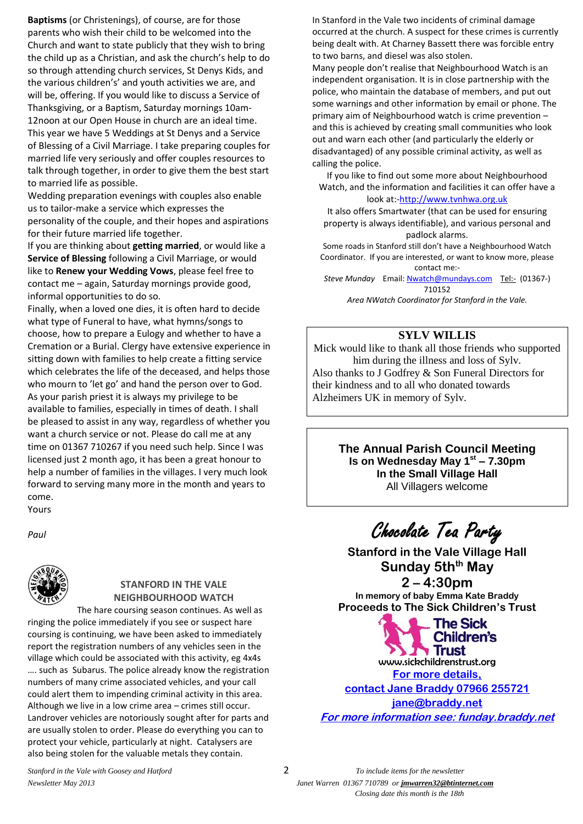**Baptisms** (or Christenings), of course, are for those parents who wish their child to be welcomed into the Church and want to state publicly that they wish to bring the child up as a Christian, and ask the church's help to do so through attending church services, St Denys Kids, and the various children's' and youth activities we are, and will be, offering. If you would like to discuss a Service of Thanksgiving, or a Baptism, Saturday mornings 10am-12noon at our Open House in church are an ideal time. This year we have 5 Weddings at St Denys and a Service of Blessing of a Civil Marriage. I take preparing couples for married life very seriously and offer couples resources to talk through together, in order to give them the best start to married life as possible.

Wedding preparation evenings with couples also enable us to tailor-make a service which expresses the personality of the couple, and their hopes and aspirations for their future married life together.

If you are thinking about **getting married**, or would like a **Service of Blessing** following a Civil Marriage, or would like to **Renew your Wedding Vows**, please feel free to contact me – again, Saturday mornings provide good, informal opportunities to do so.

Finally, when a loved one dies, it is often hard to decide what type of Funeral to have, what hymns/songs to choose, how to prepare a Eulogy and whether to have a Cremation or a Burial. Clergy have extensive experience in sitting down with families to help create a fitting service which celebrates the life of the deceased, and helps those who mourn to 'let go' and hand the person over to God. As your parish priest it is always my privilege to be available to families, especially in times of death. I shall be pleased to assist in any way, regardless of whether you want a church service or not. Please do call me at any time on 01367 710267 if you need such help. Since I was licensed just 2 month ago, it has been a great honour to help a number of families in the villages. I very much look forward to serving many more in the month and years to come. Yours

*Paul*



### **STANFORD IN THE VALE NEIGHBOURHOOD WATCH**

The hare coursing season continues. As well as ringing the police immediately if you see or suspect hare coursing is continuing, we have been asked to immediately report the registration numbers of any vehicles seen in the village which could be associated with this activity, eg 4x4s …. such as Subarus. The police already know the registration numbers of many crime associated vehicles, and your call could alert them to impending criminal activity in this area. Although we live in a low crime area – crimes still occur. Landrover vehicles are notoriously sought after for parts and are usually stolen to order. Please do everything you can to protect your vehicle, particularly at night. Catalysers are also being stolen for the valuable metals they contain.

In Stanford in the Vale two incidents of criminal damage occurred at the church. A suspect for these crimes is currently being dealt with. At Charney Bassett there was forcible entry to two barns, and diesel was also stolen.

Many people don't realise that Neighbourhood Watch is an independent organisation. It is in close partnership with the police, who maintain the database of members, and put out some warnings and other information by email or phone. The primary aim of Neighbourhood watch is crime prevention – and this is achieved by creating small communities who look out and warn each other (and particularly the elderly or disadvantaged) of any possible criminal activity, as well as calling the police.

If you like to find out some more about Neighbourhood Watch, and the information and facilities it can offer have a

#### look at:[-http://www.tvnhwa.org.uk](http://www.tvnhwa.org.uk/)

It also offers Smartwater (that can be used for ensuring property is always identifiable), and various personal and padlock alarms.

Some roads in Stanford still don't have a Neighbourhood Watch Coordinator. If you are interested, or want to know more, please contact me:-

*Steve Munday* Email[: Nwatch@mundays.com](mailto:Nwatch@mundays.com) <Tel:->(01367-) 710152

*Area NWatch Coordinator for Stanford in the Vale.*

### **SYLV WILLIS**

Mick would like to thank all those friends who supported him during the illness and loss of Sylv. Also thanks to J Godfrey & Son Funeral Directors for their kindness and to all who donated towards Alzheimers UK in memory of Sylv.

> **The Annual Parish Council Meeting Is on Wednesday May 1st – 7.30pm In the Small Village Hall** All Villagers welcome

Chocolate Tea Party

**Stanford in the Vale Village Hall Sunday 5thth May 2 – 4:30pm** 

**In memory of baby Emma Kate Braddy Proceeds to The Sick Children's Trust** 

The Sick **Children's** Trust www.sickchildrenstrust.org **For more details, contact Jane Braddy 07966 255721 [jane@braddy.net](mailto:jane@braddy.net) For more information see: funday.braddy.net**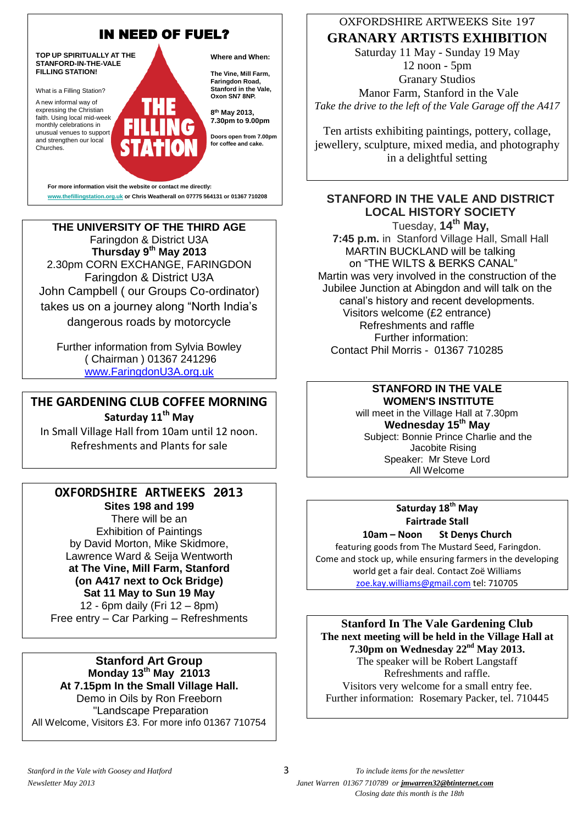

**THE UNIVERSITY OF THE THIRD AGE** Faringdon & District U3A **Thursday 9th May 2013** 2.30pm CORN EXCHANGE, FARINGDON Faringdon & District U3A John Campbell ( our Groups Co-ordinator) takes us on a journey along "North India's dangerous roads by motorcycle

Further information from Sylvia Bowley ( Chairman ) 01367 241296 [www.FaringdonU3A.org.uk](http://www.faringdonu3a.org.uk/)

## **THE GARDENING CLUB COFFEE MORNING**

**Saturday 11th May**

In Small Village Hall from 10am until 12 noon. Refreshments and Plants for sale

### **OXFORDSHIRE ARTWEEKS 2013 Sites 198 and 199**

There will be an Exhibition of Paintings by David Morton, Mike Skidmore, Lawrence Ward & Seija Wentworth **at The Vine, Mill Farm, Stanford (on A417 next to Ock Bridge) Sat 11 May to Sun 19 May** 12 - 6pm daily (Fri 12 – 8pm) Free entry – Car Parking – Refreshments

### **Stanford Art Group Monday 13th May 21013 At 7.15pm In the Small Village Hall.** Demo in Oils by Ron Freeborn "Landscape Preparation All Welcome, Visitors £3. For more info 01367 710754

### OXFORDSHIRE ARTWEEKS Site 197

**GRANARY ARTISTS EXHIBITION** Saturday 11 May - Sunday 19 May 12 noon - 5pm

Granary Studios Manor Farm, Stanford in the Vale *Take the drive to the left of the Vale Garage off the A417*

Ten artists exhibiting paintings, pottery, collage, jewellery, sculpture, mixed media, and photography in a delightful setting

### **STANFORD IN THE VALE AND DISTRICT LOCAL HISTORY SOCIETY**

Tuesday, **14th May, 7:45 p.m.** in Stanford Village Hall, Small Hall MARTIN BUCKLAND will be talking on "THE WILTS & BERKS CANAL" Martin was very involved in the construction of the Jubilee Junction at Abingdon and will talk on the canal's history and recent developments. Visitors welcome (£2 entrance) Refreshments and raffle Further information: Contact Phil Morris - 01367 710285

### **STANFORD IN THE VALE WOMEN'S INSTITUTE**

will meet in the Village Hall at 7.30pm **Wednesday 15 th May** Subject: Bonnie Prince Charlie and the Jacobite Rising Speaker: Mr Steve Lord All Welcome

### **Saturday 18th May Fairtrade Stall**

**10am – Noon St Denys Church** featuring goods from The Mustard Seed, Faringdon. Come and stock up, while ensuring farmers in the developing world get a fair deal. Contact Zoë Williams [zoe.kay.williams@gmail.com](mailto:zoe.kay.williams@gmail.com) tel: 710705

**Stanford In The Vale Gardening Club The next meeting will be held in the Village Hall at 7.30pm on Wednesday 22 nd May 2013.** The speaker will be Robert Langstaff Refreshments and raffle. Visitors very welcome for a small entry fee. Further information: Rosemary Packer, tel. 710445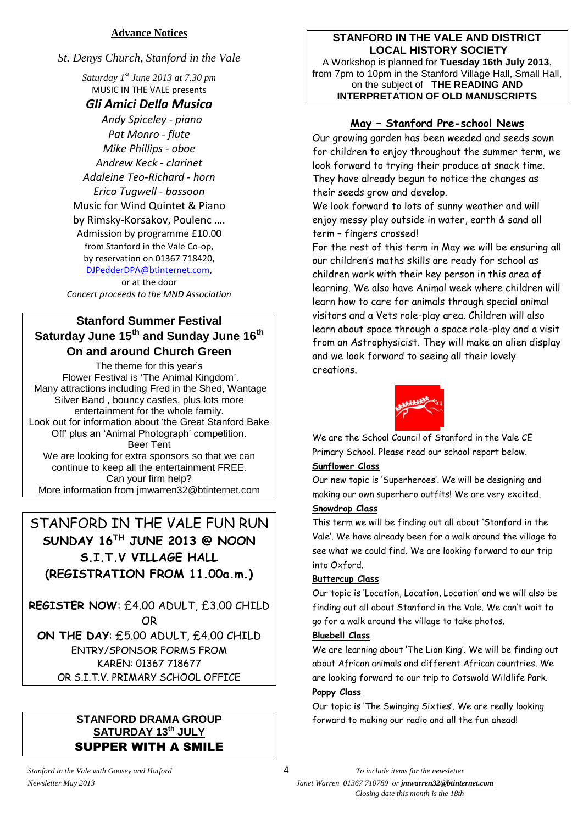### **Advance Notices**

*St. Denys Church, Stanford in the Vale*

*Saturday 1 st June 2013 at 7.30 pm* MUSIC IN THE VALE presents

### *Gli Amici Della Musica*

 *Andy Spiceley - piano Pat Monro - flute Mike Phillips - oboe Andrew Keck - clarinet Adaleine Teo-Richard - horn Erica Tugwell - bassoon* Music for Wind Quintet & Piano by Rimsky-Korsakov, Poulenc …. Admission by programme £10.00 from Stanford in the Vale Co-op, by reservation on 01367 718420, [DJPedderDPA@btinternet.com,](mailto:DJPedderDPA@btinternet.com)

or at the door *Concert proceeds to the MND Association*

### **Stanford Summer Festival Saturday June 15th and Sunday June 16th On and around Church Green**

The theme for this year's Flower Festival is 'The Animal Kingdom'. Many attractions including Fred in the Shed, Wantage Silver Band , bouncy castles, plus lots more entertainment for the whole family. Look out for information about 'the Great Stanford Bake Off' plus an 'Animal Photograph' competition. Beer Tent We are looking for extra sponsors so that we can continue to keep all the entertainment FREE. Can your firm help? More information from jmwarren32@btinternet.com

### STANFORD IN THE VALE FUN RUN **SUNDAY 16TH JUNE 2013 @ NOON S.I.T.V VILLAGE HALL (REGISTRATION FROM 11.00a.m.)**

**REGISTER NOW**: £4.00 ADULT, £3.00 CHILD OR **ON THE DAY**: £5.00 ADULT, £4.00 CHILD ENTRY/SPONSOR FORMS FROM

KAREN: 01367 718677 OR S.I.T.V. PRIMARY SCHOOL OFFICE

### **STANFORD DRAMA GROUP SATURDAY 13 th JULY** SUPPER WITH A SMILE

### **STANFORD IN THE VALE AND DISTRICT LOCAL HISTORY SOCIETY**

A Workshop is planned for **Tuesday 16th July 2013**, from 7pm to 10pm in the Stanford Village Hall, Small Hall, on the subject of **THE READING AND INTERPRETATION OF OLD MANUSCRIPTS**

### **May – Stanford Pre-school News**

Our growing garden has been weeded and seeds sown for children to enjoy throughout the summer term, we look forward to trying their produce at snack time. They have already begun to notice the changes as their seeds grow and develop.

We look forward to lots of sunny weather and will enjoy messy play outside in water, earth & sand all term – fingers crossed!

For the rest of this term in May we will be ensuring all our children's maths skills are ready for school as children work with their key person in this area of learning. We also have Animal week where children will learn how to care for animals through special animal visitors and a Vets role-play area. Children will also learn about space through a space role-play and a visit from an Astrophysicist. They will make an alien display and we look forward to seeing all their lovely creations.



We are the School Council of Stanford in the Vale CE Primary School. Please read our school report below.

### **Sunflower Class**

Our new topic is 'Superheroes'. We will be designing and making our own superhero outfits! We are very excited. **Snowdrop Class**

This term we will be finding out all about 'Stanford in the Vale'. We have already been for a walk around the village to see what we could find. We are looking forward to our trip into Oxford.

### **Buttercup Class**

Our topic is 'Location, Location, Location' and we will also be finding out all about Stanford in the Vale. We can't wait to go for a walk around the village to take photos.

### **Bluebell Class**

We are learning about 'The Lion King'. We will be finding out about African animals and different African countries. We are looking forward to our trip to Cotswold Wildlife Park.

### **Poppy Class**

Our topic is 'The Swinging Sixties'. We are really looking forward to making our radio and all the fun ahead!